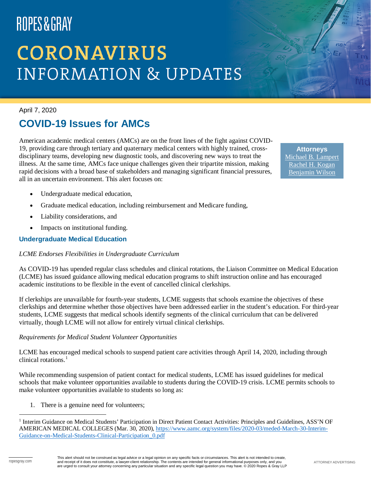# **CORONAVIRUS INFORMATION & UPDATES**

April 7, 2020

#### **COVID-19 Issues for AMCs**

American academic medical centers (AMCs) are on the front lines of the fight against COVID-19, providing care through tertiary and quaternary medical centers with highly trained, crossdisciplinary teams, developing new diagnostic tools, and discovering new ways to treat the illness. At the same time, AMCs face unique challenges given their tripartite mission, making rapid decisions with a broad base of stakeholders and managing significant financial pressures, all in an uncertain environment. This alert focuses on:

**Attorneys** [Michael B. Lampert](https://www.ropesgray.com/en/biographies/l/michael-b-lampert) [Rachel H. Kogan](https://www.ropesgray.com/en/biographies/k/rachel-kogan) [Benjamin Wilson](https://www.ropesgray.com/en/biographies/w/benjamin-wilson)

- Undergraduate medical education,
- Graduate medical education, including reimbursement and Medicare funding,
- Liability considerations, and
- Impacts on institutional funding.

#### **Undergraduate Medical Education**

#### *LCME Endorses Flexibilities in Undergraduate Curriculum*

As COVID-19 has upended regular class schedules and clinical rotations, the Liaison Committee on Medical Education (LCME) has issued guidance allowing medical education programs to shift instruction online and has encouraged academic institutions to be flexible in the event of cancelled clinical clerkships.

If clerkships are unavailable for fourth-year students, LCME suggests that schools examine the objectives of these clerkships and determine whether those objectives have been addressed earlier in the student's education. For third-year students, LCME suggests that medical schools identify segments of the clinical curriculum that can be delivered virtually, though LCME will not allow for entirely virtual clinical clerkships.

#### *Requirements for Medical Student Volunteer Opportunities*

LCME has encouraged medical schools to suspend patient care activities through April 14, 2020, including through clinical rotations.<sup>[1](#page-0-0)</sup>

While recommending suspension of patient contact for medical students, LCME has issued guidelines for medical schools that make volunteer opportunities available to students during the COVID-19 crisis. LCME permits schools to make volunteer opportunities available to students so long as:

1. There is a genuine need for volunteers;

<span id="page-0-0"></span> <sup>1</sup> Interim Guidance on Medical Students' Participation in Direct Patient Contact Activities: Principles and Guidelines, ASS'N OF AMERICAN MEDICAL COLLEGES (Mar. 30, 2020), [https://www.aamc.org/system/files/2020-03/meded-March-30-Interim-](https://www.aamc.org/system/files/2020-03/meded-March-30-Interim-Guidance-on-Medical-Students-Clinical-Participation_0.pdf)[Guidance-on-Medical-Students-Clinical-Participation\\_0.pdf](https://www.aamc.org/system/files/2020-03/meded-March-30-Interim-Guidance-on-Medical-Students-Clinical-Participation_0.pdf)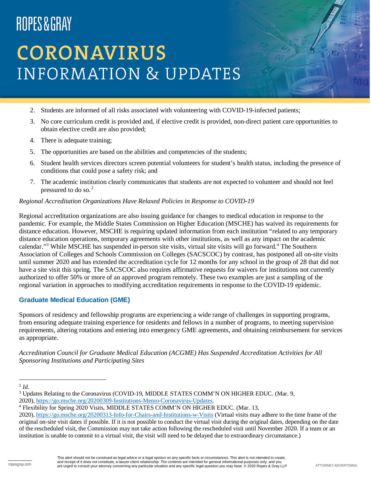# **CORONAVIRUS INFORMATION & UPDATES**

- 2. Students are informed of all risks associated with volunteering with COVID-19-infected patients;
- 3. No core curriculum credit is provided and, if elective credit is provided, non-direct patient care opportunities to obtain elective credit are also provided;
- 4. There is adequate training;
- 5. The opportunities are based on the abilities and competencies of the students;
- 6. Student health services directors screen potential volunteers for student's health status, including the presence of conditions that could pose a safety risk; and
- 7. The academic institution clearly communicates that students are not expected to volunteer and should not feel pressured to do so.<sup>[2](#page-1-0)</sup>

#### *Regional Accreditation Organizations Have Relaxed Policies in Response to COVID-19*

Regional accreditation organizations are also issuing guidance for changes to medical education in response to the pandemic. For example, the Middle States Commission on Higher Education (MSCHE) has waived its requirements for distance education. However, MSCHE is requiring updated information from each institution "related to any temporary distance education operations, temporary agreements with other institutions, as well as any impact on the academic calendar."<sup>[3](#page-1-1)</sup> While MSCHE has suspended in-person site visits, virtual site visits will go forward.<sup>[4](#page-1-2)</sup> The Southern Association of Colleges and Schools Commission on Colleges (SACSCOC) by contrast, has postponed all on-site visits until summer 2020 and has extended the accreditation cycle for 12 months for any school in the group of 28 that did not have a site visit this spring. The SACSCOC also requires affirmative requests for waivers for institutions not currently authorized to offer 50% or more of an approved program remotely. These two examples are just a sampling of the regional variation in approaches to modifying accreditation requirements in response to the COVID-19 epidemic.

#### **Graduate Medical Education (GME)**

Sponsors of residency and fellowship programs are experiencing a wide range of challenges in supporting programs, from ensuring adequate training experience for residents and fellows in a number of programs, to meeting supervision requirements, altering rotations and entering into emergency GME agreements, and obtaining reimbursement for services as appropriate.

*Accreditation Council for Graduate Medical Education (ACGME) Has Suspended Accreditation Activities for All Sponsoring Institutions and Participating Sites*

<span id="page-1-0"></span> <sup>2</sup> *Id.*

<span id="page-1-1"></span><sup>&</sup>lt;sup>3</sup> Updates Relating to the Coronavirus (COVID-19, MIDDLE STATES COMM'N ON HIGHER EDUC. (Mar. 9,

<sup>2020),</sup> [https://go.msche.org/20200309-Institutions-Memo-Coronavirus-Updates.](https://go.msche.org/20200309-Institutions-Memo-Coronavirus-Updates)

<span id="page-1-2"></span><sup>4</sup> Flexibility for Spring 2020 Visits, MIDDLE STATES COMM'N ON HIGHER EDUC. (Mar. 13,

<sup>2020),</sup> <https://go.msche.org/20200313-Info-for-Chairs-and-Institutions-w-Visits> (Virtual visits may adhere to the time frame of the original on-site visit dates if possible. If it is not possible to conduct the virtual visit during the original dates, depending on the date of the rescheduled visit, the Commission may not take action following the rescheduled visit until November 2020. If a team or an institution is unable to commit to a virtual visit, the visit will need to be delayed due to extraordinary circumstance.)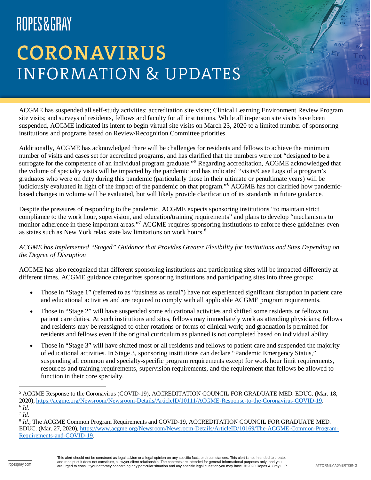# **CORONAVIRUS INFORMATION & UPDATES**

ACGME has suspended all self-study activities; accreditation site visits; Clinical Learning Environment Review Program site visits; and surveys of residents, fellows and faculty for all institutions. While all in-person site visits have been suspended, ACGME indicated its intent to begin virtual site visits on March 23, 2020 to a limited number of sponsoring institutions and programs based on Review/Recognition Committee priorities.

Additionally, ACGME has acknowledged there will be challenges for residents and fellows to achieve the minimum number of visits and cases set for accredited programs, and has clarified that the numbers were not "designed to be a surrogate for the competence of an individual program graduate."<sup>[5](#page-2-0)</sup> Regarding accreditation, ACGME acknowledged that the volume of specialty visits will be impacted by the pandemic and has indicated "visits/Case Logs of a program's graduates who were on duty during this pandemic (particularly those in their ultimate or penultimate years) will be judiciously evaluated in light of the impact of the pandemic on that program."<sup>[6](#page-2-1)</sup> ACGME has not clarified how pandemicbased changes in volume will be evaluated, but will likely provide clarification of its standards in future guidance.

Despite the pressures of responding to the pandemic, ACGME expects sponsoring institutions "to maintain strict compliance to the work hour, supervision, and education/training requirements" and plans to develop "mechanisms to monitor adherence in these important areas."<sup>[7](#page-2-2)</sup> ACGME requires sponsoring institutions to enforce these guidelines even as states such as New York relax state law limitations on work hours.<sup>[8](#page-2-3)</sup>

#### *ACGME has Implemented "Staged" Guidance that Provides Greater Flexibility for Institutions and Sites Depending on the Degree of Disruption*

ACGME has also recognized that different sponsoring institutions and participating sites will be impacted differently at different times. ACGME guidance categorizes sponsoring institutions and participating sites into three groups:

- Those in "Stage 1" (referred to as "business as usual") have not experienced significant disruption in patient care and educational activities and are required to comply with all applicable ACGME program requirements.
- Those in "Stage 2" will have suspended some educational activities and shifted some residents or fellows to patient care duties. At such institutions and sites, fellows may immediately work as attending physicians; fellows and residents may be reassigned to other rotations or forms of clinical work; and graduation is permitted for residents and fellows even if the original curriculum as planned is not completed based on individual ability.
- Those in "Stage 3" will have shifted most or all residents and fellows to patient care and suspended the majority of educational activities. In Stage 3, sponsoring institutions can declare "Pandemic Emergency Status," suspending all common and specialty-specific program requirements except for work hour limit requirements, resources and training requirements, supervision requirements, and the requirement that fellows be allowed to function in their core specialty.

<span id="page-2-0"></span> <sup>5</sup> ACGME Response to the Coronavirus (COVID-19), ACCREDITATION COUNCIL FOR GRADUATE MED. EDUC. (Mar. 18, 2020), [https://acgme.org/Newsroom/Newsroom-Details/ArticleID/10111/ACGME-Response-to-the-Coronavirus-COVID-19.](https://acgme.org/Newsroom/Newsroom-Details/ArticleID/10111/ACGME-Response-to-the-Coronavirus-COVID-19) <sup>6</sup> *Id.*

<span id="page-2-2"></span><span id="page-2-1"></span><sup>7</sup> *Id.*

<span id="page-2-3"></span><sup>8</sup> *Id.*; The ACGME Common Program Requirements and COVID-19, ACCREDITATION COUNCIL FOR GRADUATE MED. EDUC. (Mar. 27, 2020), [https://www.acgme.org/Newsroom/Newsroom-Details/ArticleID/10169/The-ACGME-Common-Program-](https://www.acgme.org/Newsroom/Newsroom-Details/ArticleID/10169/The-ACGME-Common-Program-Requirements-and-COVID-19)[Requirements-and-COVID-19.](https://www.acgme.org/Newsroom/Newsroom-Details/ArticleID/10169/The-ACGME-Common-Program-Requirements-and-COVID-19)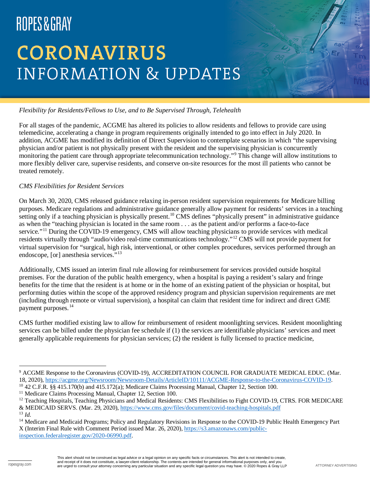# **CORONAVIRUS INFORMATION & UPDATES**

#### *Flexibility for Residents/Fellows to Use, and to Be Supervised Through, Telehealth*

For all stages of the pandemic, ACGME has altered its policies to allow residents and fellows to provide care using telemedicine, accelerating a change in program requirements originally intended to go into effect in July 2020. In addition, ACGME has modified its definition of Direct Supervision to contemplate scenarios in which "the supervising physician and/or patient is not physically present with the resident and the supervising physician is concurrently monitoring the patient care through appropriate telecommunication technology."[9](#page-3-0) This change will allow institutions to more flexibly deliver care, supervise residents, and conserve on-site resources for the most ill patients who cannot be treated remotely.

#### *CMS Flexibilities for Resident Services*

On March 30, 2020, CMS released guidance relaxing in-person resident supervision requirements for Medicare billing purposes. Medicare regulations and administrative guidance generally allow payment for residents' services in a teaching setting only if a teaching physician is physically present.<sup>[10](#page-3-1)</sup> CMS defines "physically present" in administrative guidance as when the "teaching physician is located in the same room . . . as the patient and/or performs a face-to-face service."<sup>[11](#page-3-2)</sup> During the COVID-19 emergency, CMS will allow teaching physicians to provide services with medical residents virtually through "audio/video real-time communications technology."[12](#page-3-3) CMS will not provide payment for virtual supervision for "surgical, high risk, interventional, or other complex procedures, services performed through an endoscope, [or] anesthesia services."[13](#page-3-4)

Additionally, CMS issued an interim final rule allowing for reimbursement for services provided outside hospital premises. For the duration of the public health emergency, when a hospital is paying a resident's salary and fringe benefits for the time that the resident is at home or in the home of an existing patient of the physician or hospital, but performing duties within the scope of the approved residency program and physician supervision requirements are met (including through remote or virtual supervision), a hospital can claim that resident time for indirect and direct GME payment purposes.<sup>[14](#page-3-5)</sup>

CMS further modified existing law to allow for reimbursement of resident moonlighting services. Resident moonlighting services can be billed under the physician fee schedule if (1) the services are identifiable physicians' services and meet generally applicable requirements for physician services; (2) the resident is fully licensed to practice medicine,

<span id="page-3-0"></span><sup>&</sup>lt;sup>9</sup> ACGME Response to the Coronavirus (COVID-19), ACCREDITATION COUNCIL FOR GRADUATE MEDICAL EDUC. (Mar. 18, 2020), [https://acgme.org/Newsroom/Newsroom-Details/ArticleID/10111/ACGME-Response-to-the-Coronavirus-COVID-19.](https://acgme.org/Newsroom/Newsroom-Details/ArticleID/10111/ACGME-Response-to-the-Coronavirus-COVID-19) <sup>10</sup> 42 C.F.R. §§ 415.170(b) and 415.172(a); Medicare Claims Processing Manual, Chapter 12, Section 100.

<span id="page-3-2"></span><span id="page-3-1"></span><sup>&</sup>lt;sup>11</sup> Medicare Claims Processing Manual, Chapter 12, Section 100.

<span id="page-3-3"></span><sup>&</sup>lt;sup>12</sup> Teaching Hospitals, Teaching Physicians and Medical Residents: CMS Flexibilities to Fight COVID-19, CTRS. FOR MEDICARE & MEDICAID SERVS. (Mar. 29, 2020), <https://www.cms.gov/files/document/covid-teaching-hospitals.pdf>

<span id="page-3-4"></span><sup>13</sup> *Id.*

<span id="page-3-5"></span><sup>&</sup>lt;sup>14</sup> Medicare and Medicaid Programs; Policy and Regulatory Revisions in Response to the COVID-19 Public Health Emergency Part X (Interim Final Rule with Comment Period issued Mar. 26, 2020), [https://s3.amazonaws.com/public-](https://s3.amazonaws.com/public-inspection.federalregister.gov/2020-06990.pdf)

[inspection.federalregister.gov/2020-06990.pdf.](https://s3.amazonaws.com/public-inspection.federalregister.gov/2020-06990.pdf)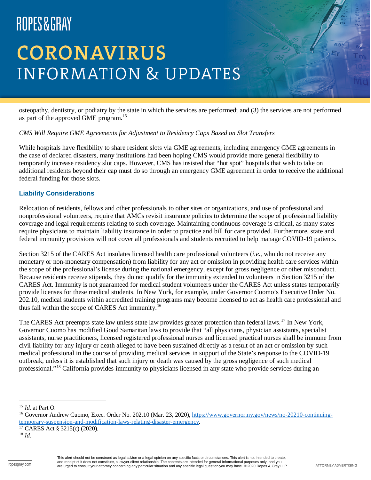# **CORONAVIRUS INFORMATION & UPDATES**

osteopathy, dentistry, or podiatry by the state in which the services are performed; and (3) the services are not performed as part of the approved GME program.<sup>[15](#page-4-0)</sup>

#### *CMS Will Require GME Agreements for Adjustment to Residency Caps Based on Slot Transfers*

While hospitals have flexibility to share resident slots via GME agreements, including emergency GME agreements in the case of declared disasters, many institutions had been hoping CMS would provide more general flexibility to temporarily increase residency slot caps. However, CMS has insisted that "hot spot" hospitals that wish to take on additional residents beyond their cap must do so through an emergency GME agreement in order to receive the additional federal funding for those slots.

#### **Liability Considerations**

Relocation of residents, fellows and other professionals to other sites or organizations, and use of professional and nonprofessional volunteers, require that AMCs revisit insurance policies to determine the scope of professional liability coverage and legal requirements relating to such coverage. Maintaining continuous coverage is critical, as many states require physicians to maintain liability insurance in order to practice and bill for care provided. Furthermore, state and federal immunity provisions will not cover all professionals and students recruited to help manage COVID-19 patients.

Section 3215 of the CARES Act insulates licensed health care professional volunteers (*i.e.*, who do not receive any monetary or non-monetary compensation) from liability for any act or omission in providing health care services within the scope of the professional's license during the national emergency, except for gross negligence or other misconduct. Because residents receive stipends, they do not qualify for the immunity extended to volunteers in Section 3215 of the CARES Act. Immunity is not guaranteed for medical student volunteers under the CARES Act unless states temporarily provide licenses for these medical students. In New York, for example, under Governor Cuomo's Executive Order No. 202.10, medical students within accredited training programs may become licensed to act as health care professional and thus fall within the scope of CARES Act immunity.<sup>[16](#page-4-1)</sup>

The CARES Act preempts state law unless state law provides greater protection than federal laws.<sup>[17](#page-4-2)</sup> In New York, Governor Cuomo has modified Good Samaritan laws to provide that "all physicians, physician assistants, specialist assistants, nurse practitioners, licensed registered professional nurses and licensed practical nurses shall be immune from civil liability for any injury or death alleged to have been sustained directly as a result of an act or omission by such medical professional in the course of providing medical services in support of the State's response to the COVID-19 outbreak, unless it is established that such injury or death was caused by the gross negligence of such medical professional."[18](#page-4-3) California provides immunity to physicians licensed in any state who provide services during an

<span id="page-4-0"></span> <sup>15</sup> *Id.* at Part O.

<span id="page-4-1"></span><sup>&</sup>lt;sup>16</sup> Governor Andrew Cuomo, Exec. Order No. 202.10 (Mar. 23, 2020), [https://www.governor.ny.gov/news/no-20210-continuing](https://www.governor.ny.gov/news/no-20210-continuing-temporary-suspension-and-modification-laws-relating-disaster-emergency)[temporary-suspension-and-modification-laws-relating-disaster-emergency.](https://www.governor.ny.gov/news/no-20210-continuing-temporary-suspension-and-modification-laws-relating-disaster-emergency)

<span id="page-4-2"></span> $17$  CARES Act § 3215(c) (2020).

<span id="page-4-3"></span><sup>18</sup> *Id.*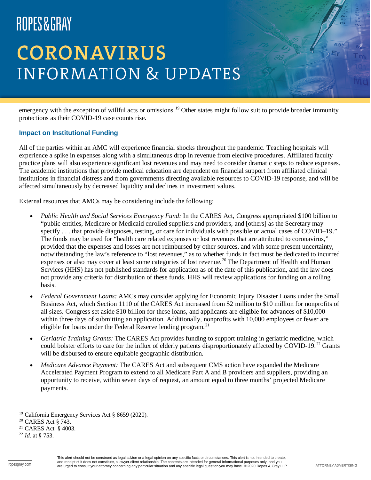# **CORONAVIRUS INFORMATION & UPDATES**

emergency with the exception of willful acts or omissions.<sup>[19](#page-5-0)</sup> Other states might follow suit to provide broader immunity protections as their COVID-19 case counts rise.

#### **Impact on Institutional Funding**

All of the parties within an AMC will experience financial shocks throughout the pandemic. Teaching hospitals will experience a spike in expenses along with a simultaneous drop in revenue from elective procedures. Affiliated faculty practice plans will also experience significant lost revenues and may need to consider dramatic steps to reduce expenses. The academic institutions that provide medical education are dependent on financial support from affiliated clinical institutions in financial distress and from governments directing available resources to COVID-19 response, and will be affected simultaneously by decreased liquidity and declines in investment values.

External resources that AMCs may be considering include the following:

- *Public Health and Social Services Emergency Fund:* In the CARES Act, Congress appropriated \$100 billion to "public entities, Medicare or Medicaid enrolled suppliers and providers, and [others] as the Secretary may specify . . . that provide diagnoses, testing, or care for individuals with possible or actual cases of COVID–19." The funds may be used for "health care related expenses or lost revenues that are attributed to coronavirus," provided that the expenses and losses are not reimbursed by other sources, and with some present uncertainty, notwithstanding the law's reference to "lost revenues," as to whether funds in fact must be dedicated to incurred expenses or also may cover at least some categories of lost revenue.<sup>[20](#page-5-1)</sup> The Department of Health and Human Services (HHS) has not published standards for application as of the date of this publication, and the law does not provide any criteria for distribution of these funds. HHS will review applications for funding on a rolling basis.
- *Federal Government Loans:* AMCs may consider applying for Economic Injury Disaster Loans under the Small Business Act, which Section 1110 of the CARES Act increased from \$2 million to \$10 million for nonprofits of all sizes. Congress set aside \$10 billion for these loans, and applicants are eligible for advances of \$10,000 within three days of submitting an application. Additionally, nonprofits with 10,000 employees or fewer are eligible for loans under the Federal Reserve lending program.<sup>[21](#page-5-2)</sup>
- *Geriatric Training Grants:* The CARES Act provides funding to support training in geriatric medicine, which could bolster efforts to care for the influx of elderly patients disproportionately affected by COVID-19. $^{22}$  $^{22}$  $^{22}$  Grants will be disbursed to ensure equitable geographic distribution.
- *Medicare Advance Payment:* The CARES Act and subsequent CMS action have expanded the Medicare Accelerated Payment Program to extend to all Medicare Part A and B providers and suppliers, providing an opportunity to receive, within seven days of request, an amount equal to three months' projected Medicare payments.

<span id="page-5-0"></span> <sup>19</sup> California Emergency Services Act § 8659 (2020).

<span id="page-5-1"></span><sup>20</sup> CARES Act § 743.

<span id="page-5-2"></span><sup>21</sup> CARES Act § 4003.

<span id="page-5-3"></span><sup>22</sup> *Id.* at § 753.